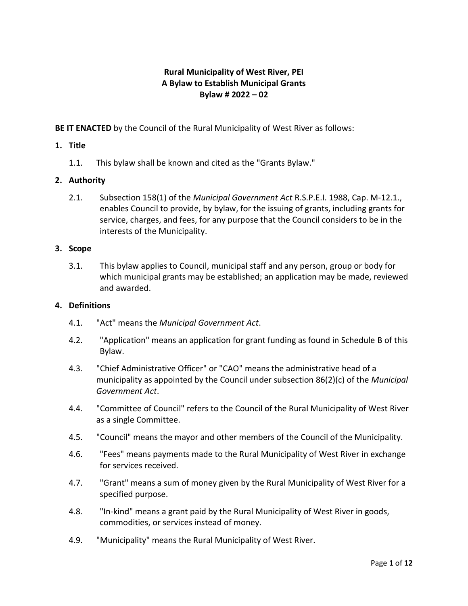# **Rural Municipality of West River, PEI A Bylaw to Establish Municipal Grants Bylaw # 2022 – 02**

**BE IT ENACTED** by the Council of the Rural Municipality of West River as follows:

## **1. Title**

1.1. This bylaw shall be known and cited as the "Grants Bylaw."

## **2. Authority**

2.1. Subsection 158(1) of the *Municipal Government Act* R.S.P.E.I. 1988, Cap. M-12.1., enables Council to provide, by bylaw, for the issuing of grants, including grants for service, charges, and fees, for any purpose that the Council considers to be in the interests of the Municipality.

## **3. Scope**

3.1. This bylaw applies to Council, municipal staff and any person, group or body for which municipal grants may be established; an application may be made, reviewed and awarded.

#### **4. Definitions**

- 4.1. "Act" means the *Municipal Government Act*.
- 4.2. "Application" means an application for grant funding as found in Schedule B of this Bylaw.
- 4.3. "Chief Administrative Officer" or "CAO" means the administrative head of a municipality as appointed by the Council under subsection 86(2)(c) of the *Municipal Government Act*.
- 4.4. "Committee of Council" refers to the Council of the Rural Municipality of West River as a single Committee.
- 4.5. "Council" means the mayor and other members of the Council of the Municipality.
- 4.6. "Fees" means payments made to the Rural Municipality of West River in exchange for services received.
- 4.7. "Grant" means a sum of money given by the Rural Municipality of West River for a specified purpose.
- 4.8. "In-kind" means a grant paid by the Rural Municipality of West River in goods, commodities, or services instead of money.
- 4.9. "Municipality" means the Rural Municipality of West River.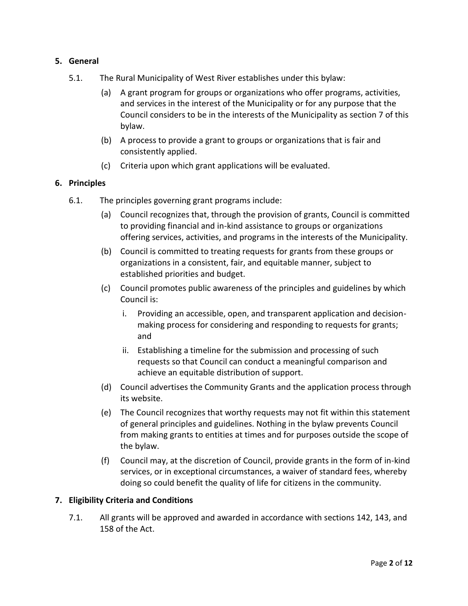## **5. General**

- 5.1. The Rural Municipality of West River establishes under this bylaw:
	- (a) A grant program for groups or organizations who offer programs, activities, and services in the interest of the Municipality or for any purpose that the Council considers to be in the interests of the Municipality as section 7 of this bylaw.
	- (b) A process to provide a grant to groups or organizations that is fair and consistently applied.
	- (c) Criteria upon which grant applications will be evaluated.

## **6. Principles**

- 6.1. The principles governing grant programs include:
	- (a) Council recognizes that, through the provision of grants, Council is committed to providing financial and in-kind assistance to groups or organizations offering services, activities, and programs in the interests of the Municipality.
	- (b) Council is committed to treating requests for grants from these groups or organizations in a consistent, fair, and equitable manner, subject to established priorities and budget.
	- (c) Council promotes public awareness of the principles and guidelines by which Council is:
		- i. Providing an accessible, open, and transparent application and decisionmaking process for considering and responding to requests for grants; and
		- ii. Establishing a timeline for the submission and processing of such requests so that Council can conduct a meaningful comparison and achieve an equitable distribution of support.
	- (d) Council advertises the Community Grants and the application process through its website.
	- (e) The Council recognizes that worthy requests may not fit within this statement of general principles and guidelines. Nothing in the bylaw prevents Council from making grants to entities at times and for purposes outside the scope of the bylaw.
	- (f) Council may, at the discretion of Council, provide grants in the form of in-kind services, or in exceptional circumstances, a waiver of standard fees, whereby doing so could benefit the quality of life for citizens in the community.

#### **7. Eligibility Criteria and Conditions**

7.1. All grants will be approved and awarded in accordance with sections 142, 143, and 158 of the Act.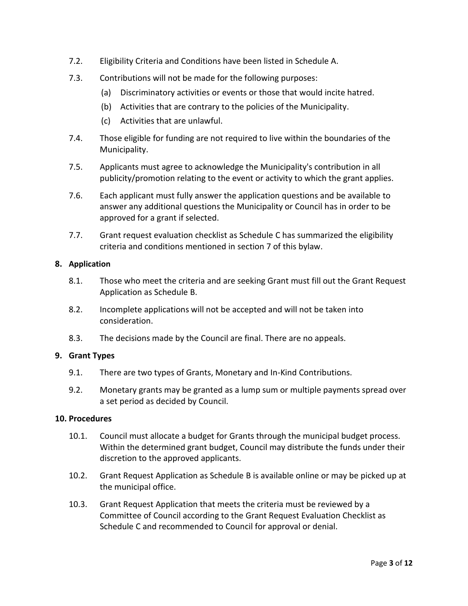- 7.2. Eligibility Criteria and Conditions have been listed in Schedule A.
- 7.3. Contributions will not be made for the following purposes:
	- (a) Discriminatory activities or events or those that would incite hatred.
	- (b) Activities that are contrary to the policies of the Municipality.
	- (c) Activities that are unlawful.
- 7.4. Those eligible for funding are not required to live within the boundaries of the Municipality.
- 7.5. Applicants must agree to acknowledge the Municipality's contribution in all publicity/promotion relating to the event or activity to which the grant applies.
- 7.6. Each applicant must fully answer the application questions and be available to answer any additional questions the Municipality or Council has in order to be approved for a grant if selected.
- 7.7. Grant request evaluation checklist as Schedule C has summarized the eligibility criteria and conditions mentioned in section 7 of this bylaw.

## **8. Application**

- 8.1. Those who meet the criteria and are seeking Grant must fill out the Grant Request Application as Schedule B.
- 8.2. Incomplete applications will not be accepted and will not be taken into consideration.
- 8.3. The decisions made by the Council are final. There are no appeals.

## **9. Grant Types**

- 9.1. There are two types of Grants, Monetary and In-Kind Contributions.
- 9.2. Monetary grants may be granted as a lump sum or multiple payments spread over a set period as decided by Council.

#### **10. Procedures**

- 10.1. Council must allocate a budget for Grants through the municipal budget process. Within the determined grant budget, Council may distribute the funds under their discretion to the approved applicants.
- 10.2. Grant Request Application as Schedule B is available online or may be picked up at the municipal office.
- 10.3. Grant Request Application that meets the criteria must be reviewed by a Committee of Council according to the Grant Request Evaluation Checklist as Schedule C and recommended to Council for approval or denial.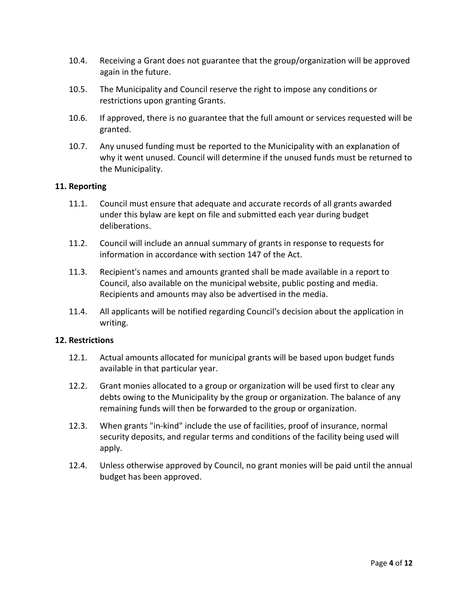- 10.4. Receiving a Grant does not guarantee that the group/organization will be approved again in the future.
- 10.5. The Municipality and Council reserve the right to impose any conditions or restrictions upon granting Grants.
- 10.6. If approved, there is no guarantee that the full amount or services requested will be granted.
- 10.7. Any unused funding must be reported to the Municipality with an explanation of why it went unused. Council will determine if the unused funds must be returned to the Municipality.

#### **11. Reporting**

- 11.1. Council must ensure that adequate and accurate records of all grants awarded under this bylaw are kept on file and submitted each year during budget deliberations.
- 11.2. Council will include an annual summary of grants in response to requests for information in accordance with section 147 of the Act.
- 11.3. Recipient's names and amounts granted shall be made available in a report to Council, also available on the municipal website, public posting and media. Recipients and amounts may also be advertised in the media.
- 11.4. All applicants will be notified regarding Council's decision about the application in writing.

#### **12. Restrictions**

- 12.1. Actual amounts allocated for municipal grants will be based upon budget funds available in that particular year.
- 12.2. Grant monies allocated to a group or organization will be used first to clear any debts owing to the Municipality by the group or organization. The balance of any remaining funds will then be forwarded to the group or organization.
- 12.3. When grants "in-kind" include the use of facilities, proof of insurance, normal security deposits, and regular terms and conditions of the facility being used will apply.
- 12.4. Unless otherwise approved by Council, no grant monies will be paid until the annual budget has been approved.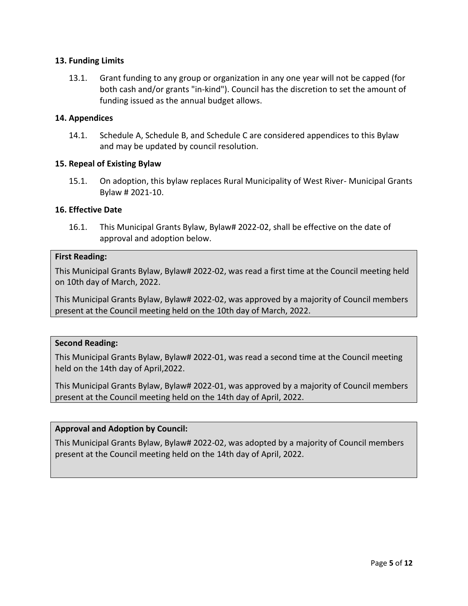## **13. Funding Limits**

13.1. Grant funding to any group or organization in any one year will not be capped (for both cash and/or grants "in-kind"). Council has the discretion to set the amount of funding issued as the annual budget allows.

## **14. Appendices**

14.1. Schedule A, Schedule B, and Schedule C are considered appendices to this Bylaw and may be updated by council resolution.

## **15. Repeal of Existing Bylaw**

15.1. On adoption, this bylaw replaces Rural Municipality of West River- Municipal Grants Bylaw # 2021-10.

## **16. Effective Date**

16.1. This Municipal Grants Bylaw, Bylaw# 2022-02, shall be effective on the date of approval and adoption below.

#### **First Reading:**

This Municipal Grants Bylaw, Bylaw# 2022-02, was read a first time at the Council meeting held on 10th day of March, 2022.

This Municipal Grants Bylaw, Bylaw# 2022-02, was approved by a majority of Council members present at the Council meeting held on the 10th day of March, 2022.

#### **Second Reading:**

This Municipal Grants Bylaw, Bylaw# 2022-01, was read a second time at the Council meeting held on the 14th day of April,2022.

This Municipal Grants Bylaw, Bylaw# 2022-01, was approved by a majority of Council members present at the Council meeting held on the 14th day of April, 2022.

#### **Approval and Adoption by Council:**

This Municipal Grants Bylaw, Bylaw# 2022-02, was adopted by a majority of Council members present at the Council meeting held on the 14th day of April, 2022.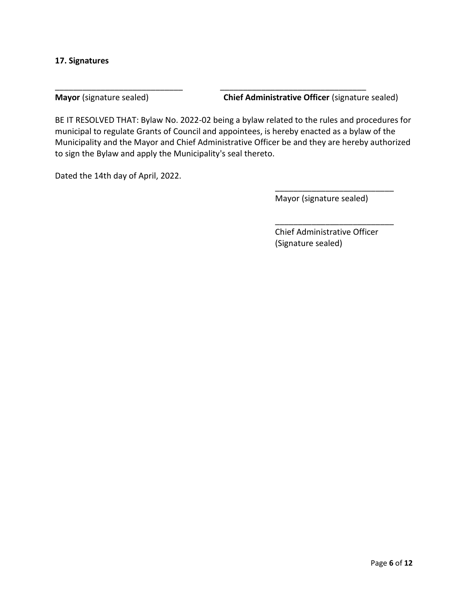#### **17. Signatures**

**Mayor** (signature sealed) **Chief Administrative Officer** (signature sealed)

BE IT RESOLVED THAT: Bylaw No. 2022-02 being a bylaw related to the rules and procedures for municipal to regulate Grants of Council and appointees, is hereby enacted as a bylaw of the Municipality and the Mayor and Chief Administrative Officer be and they are hereby authorized to sign the Bylaw and apply the Municipality's seal thereto.

\_\_\_\_\_\_\_\_\_\_\_\_\_\_\_\_\_\_\_\_\_\_\_\_\_\_\_\_ \_\_\_\_\_\_\_\_\_\_\_\_\_\_\_\_\_\_\_\_\_\_\_\_\_\_\_\_\_\_\_\_

Dated the 14th day of April, 2022.

Mayor (signature sealed)

\_\_\_\_\_\_\_\_\_\_\_\_\_\_\_\_\_\_\_\_\_\_\_\_\_\_

\_\_\_\_\_\_\_\_\_\_\_\_\_\_\_\_\_\_\_\_\_\_\_\_\_\_

Chief Administrative Officer (Signature sealed)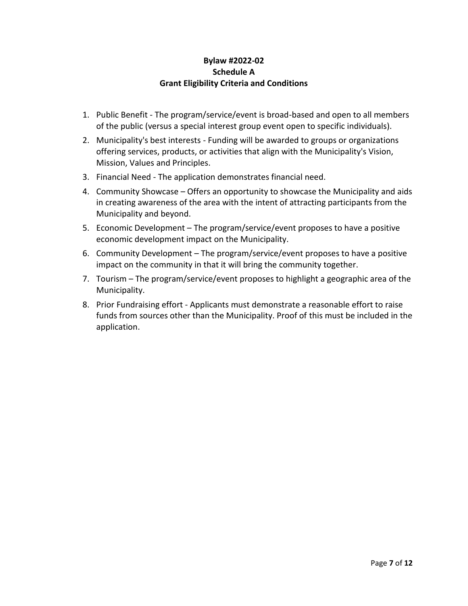# **Bylaw #2022-02 Schedule A Grant Eligibility Criteria and Conditions**

- 1. Public Benefit The program/service/event is broad-based and open to all members of the public (versus a special interest group event open to specific individuals).
- 2. Municipality's best interests Funding will be awarded to groups or organizations offering services, products, or activities that align with the Municipality's Vision, Mission, Values and Principles.
- 3. Financial Need The application demonstrates financial need.
- 4. Community Showcase Offers an opportunity to showcase the Municipality and aids in creating awareness of the area with the intent of attracting participants from the Municipality and beyond.
- 5. Economic Development The program/service/event proposes to have a positive economic development impact on the Municipality.
- 6. Community Development The program/service/event proposes to have a positive impact on the community in that it will bring the community together.
- 7. Tourism The program/service/event proposes to highlight a geographic area of the Municipality.
- 8. Prior Fundraising effort Applicants must demonstrate a reasonable effort to raise funds from sources other than the Municipality. Proof of this must be included in the application.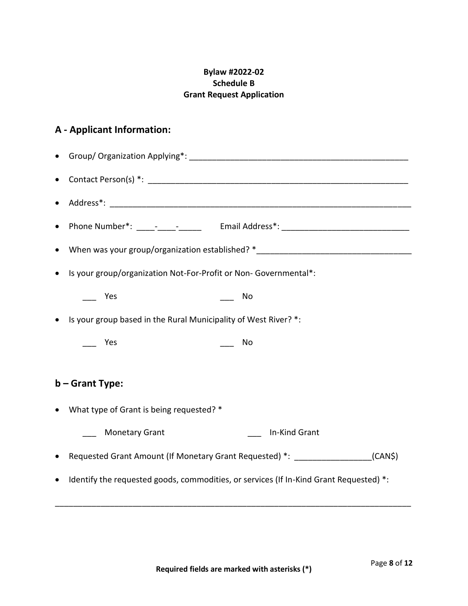# **Bylaw #2022-02 Schedule B Grant Request Application**

# **A - Applicant Information:**

|                   | When was your group/organization established? *_________________________________       |                                                                 |  |  |  |  |
|-------------------|----------------------------------------------------------------------------------------|-----------------------------------------------------------------|--|--|--|--|
|                   | Is your group/organization Not-For-Profit or Non- Governmental*:                       |                                                                 |  |  |  |  |
|                   | Yes<br>No                                                                              |                                                                 |  |  |  |  |
|                   |                                                                                        | Is your group based in the Rural Municipality of West River? *: |  |  |  |  |
|                   | Yes<br>No<br>$\frac{1}{2}$<br>$\frac{1}{1}$                                            |                                                                 |  |  |  |  |
|                   |                                                                                        |                                                                 |  |  |  |  |
| $b -$ Grant Type: |                                                                                        |                                                                 |  |  |  |  |
|                   | What type of Grant is being requested? *                                               |                                                                 |  |  |  |  |
|                   | <b>Monetary Grant</b>                                                                  | In-Kind Grant                                                   |  |  |  |  |
|                   | Requested Grant Amount (If Monetary Grant Requested) *: _________________(CAN\$)       |                                                                 |  |  |  |  |
|                   | Identify the requested goods, commodities, or services (If In-Kind Grant Requested) *: |                                                                 |  |  |  |  |
|                   |                                                                                        |                                                                 |  |  |  |  |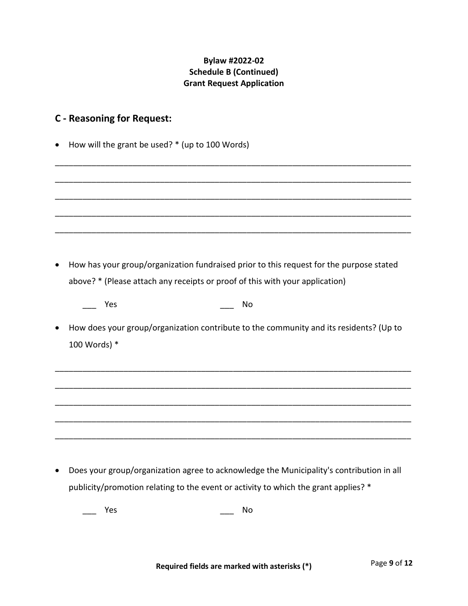# **Bylaw #2022-02 Schedule B (Continued) Grant Request Application**

# **C - Reasoning for Request:**

- How will the grant be used? \* (up to 100 Words)
- \_\_\_\_\_\_\_\_\_\_\_\_\_\_\_\_\_\_\_\_\_\_\_\_\_\_\_\_\_\_\_\_\_\_\_\_\_\_\_\_\_\_\_\_\_\_\_\_\_\_\_\_\_\_\_\_\_\_\_\_\_\_\_\_\_\_\_\_\_\_\_\_\_\_\_\_\_\_ \_\_\_\_\_\_\_\_\_\_\_\_\_\_\_\_\_\_\_\_\_\_\_\_\_\_\_\_\_\_\_\_\_\_\_\_\_\_\_\_\_\_\_\_\_\_\_\_\_\_\_\_\_\_\_\_\_\_\_\_\_\_\_\_\_\_\_\_\_\_\_\_\_\_\_\_\_\_ \_\_\_\_\_\_\_\_\_\_\_\_\_\_\_\_\_\_\_\_\_\_\_\_\_\_\_\_\_\_\_\_\_\_\_\_\_\_\_\_\_\_\_\_\_\_\_\_\_\_\_\_\_\_\_\_\_\_\_\_\_\_\_\_\_\_\_\_\_\_\_\_\_\_\_\_\_\_ \_\_\_\_\_\_\_\_\_\_\_\_\_\_\_\_\_\_\_\_\_\_\_\_\_\_\_\_\_\_\_\_\_\_\_\_\_\_\_\_\_\_\_\_\_\_\_\_\_\_\_\_\_\_\_\_\_\_\_\_\_\_\_\_\_\_\_\_\_\_\_\_\_\_\_\_\_\_ \_\_\_\_\_\_\_\_\_\_\_\_\_\_\_\_\_\_\_\_\_\_\_\_\_\_\_\_\_\_\_\_\_\_\_\_\_\_\_\_\_\_\_\_\_\_\_\_\_\_\_\_\_\_\_\_\_\_\_\_\_\_\_\_\_\_\_\_\_\_\_\_\_\_\_\_\_\_ • How has your group/organization fundraised prior to this request for the purpose stated above? \* (Please attach any receipts or proof of this with your application) Yes  $\overline{N}$  No • How does your group/organization contribute to the community and its residents? (Up to 100 Words) \* \_\_\_\_\_\_\_\_\_\_\_\_\_\_\_\_\_\_\_\_\_\_\_\_\_\_\_\_\_\_\_\_\_\_\_\_\_\_\_\_\_\_\_\_\_\_\_\_\_\_\_\_\_\_\_\_\_\_\_\_\_\_\_\_\_\_\_\_\_\_\_\_\_\_\_\_\_\_ \_\_\_\_\_\_\_\_\_\_\_\_\_\_\_\_\_\_\_\_\_\_\_\_\_\_\_\_\_\_\_\_\_\_\_\_\_\_\_\_\_\_\_\_\_\_\_\_\_\_\_\_\_\_\_\_\_\_\_\_\_\_\_\_\_\_\_\_\_\_\_\_\_\_\_\_\_\_ \_\_\_\_\_\_\_\_\_\_\_\_\_\_\_\_\_\_\_\_\_\_\_\_\_\_\_\_\_\_\_\_\_\_\_\_\_\_\_\_\_\_\_\_\_\_\_\_\_\_\_\_\_\_\_\_\_\_\_\_\_\_\_\_\_\_\_\_\_\_\_\_\_\_\_\_\_\_ \_\_\_\_\_\_\_\_\_\_\_\_\_\_\_\_\_\_\_\_\_\_\_\_\_\_\_\_\_\_\_\_\_\_\_\_\_\_\_\_\_\_\_\_\_\_\_\_\_\_\_\_\_\_\_\_\_\_\_\_\_\_\_\_\_\_\_\_\_\_\_\_\_\_\_\_\_\_ \_\_\_\_\_\_\_\_\_\_\_\_\_\_\_\_\_\_\_\_\_\_\_\_\_\_\_\_\_\_\_\_\_\_\_\_\_\_\_\_\_\_\_\_\_\_\_\_\_\_\_\_\_\_\_\_\_\_\_\_\_\_\_\_\_\_\_\_\_\_\_\_\_\_\_\_\_\_
- Does your group/organization agree to acknowledge the Municipality's contribution in all publicity/promotion relating to the event or activity to which the grant applies? \*

\_\_\_ Yes No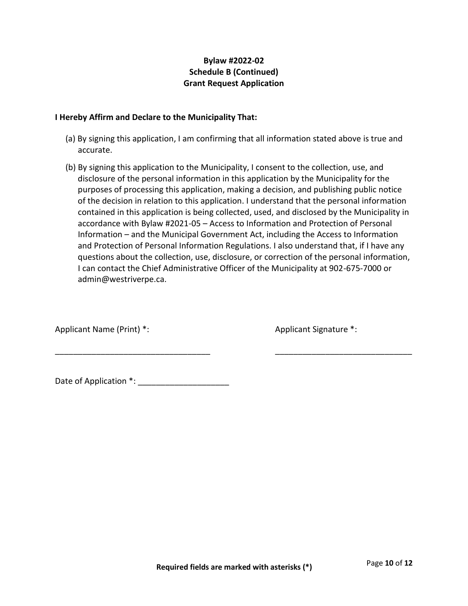# **Bylaw #2022-02 Schedule B (Continued) Grant Request Application**

## **I Hereby Affirm and Declare to the Municipality That:**

- (a) By signing this application, I am confirming that all information stated above is true and accurate.
- (b) By signing this application to the Municipality, I consent to the collection, use, and disclosure of the personal information in this application by the Municipality for the purposes of processing this application, making a decision, and publishing public notice of the decision in relation to this application. I understand that the personal information contained in this application is being collected, used, and disclosed by the Municipality in accordance with Bylaw #2021-05 – Access to Information and Protection of Personal Information – and the Municipal Government Act, including the Access to Information and Protection of Personal Information Regulations. I also understand that, if I have any questions about the collection, use, disclosure, or correction of the personal information, I can contact the Chief Administrative Officer of the Municipality at 902-675-7000 or admin@westriverpe.ca.

\_\_\_\_\_\_\_\_\_\_\_\_\_\_\_\_\_\_\_\_\_\_\_\_\_\_\_\_\_\_\_\_\_\_ \_\_\_\_\_\_\_\_\_\_\_\_\_\_\_\_\_\_\_\_\_\_\_\_\_\_\_\_\_\_

Applicant Name (Print) \*: Applicant Signature \*:

Date of Application \*: \_\_\_\_\_\_\_\_\_\_\_\_\_\_\_\_\_\_\_\_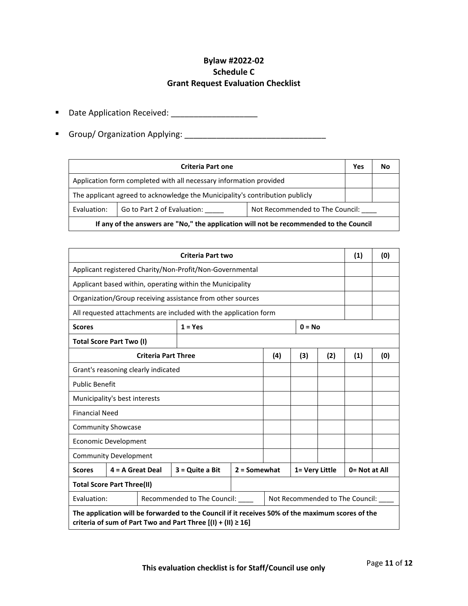# **Bylaw #2022-02 Schedule C Grant Request Evaluation Checklist**

- Date Application Received: \_\_\_\_\_\_\_\_\_\_\_\_\_\_\_\_\_\_\_
- Group/ Organization Applying: \_\_\_\_\_\_\_\_\_\_\_\_\_\_\_\_\_\_\_\_\_\_\_\_\_\_\_\_\_\_\_

| <b>Criteria Part one</b>                                                               |  |  |  | No |  |
|----------------------------------------------------------------------------------------|--|--|--|----|--|
| Application form completed with all necessary information provided                     |  |  |  |    |  |
| The applicant agreed to acknowledge the Municipality's contribution publicly           |  |  |  |    |  |
| Go to Part 2 of Evaluation:<br>Not Recommended to The Council:<br>Evaluation:          |  |  |  |    |  |
| If any of the answers are "No," the application will not be recommended to the Council |  |  |  |    |  |

| <b>Criteria Part two</b>                                                                                                                                             |                       |                                  |                       |                                 |                | (1) | (0)           |     |  |
|----------------------------------------------------------------------------------------------------------------------------------------------------------------------|-----------------------|----------------------------------|-----------------------|---------------------------------|----------------|-----|---------------|-----|--|
| Applicant registered Charity/Non-Profit/Non-Governmental                                                                                                             |                       |                                  |                       |                                 |                |     |               |     |  |
| Applicant based within, operating within the Municipality                                                                                                            |                       |                                  |                       |                                 |                |     |               |     |  |
| Organization/Group receiving assistance from other sources                                                                                                           |                       |                                  |                       |                                 |                |     |               |     |  |
| All requested attachments are included with the application form                                                                                                     |                       |                                  |                       |                                 |                |     |               |     |  |
| <b>Scores</b>                                                                                                                                                        |                       |                                  | $1 = Yes$<br>$0 = No$ |                                 |                |     |               |     |  |
| <b>Total Score Part Two (I)</b>                                                                                                                                      |                       |                                  |                       |                                 |                |     |               |     |  |
| <b>Criteria Part Three</b>                                                                                                                                           |                       |                                  |                       | (4)                             | (3)            | (2) | (1)           | (0) |  |
| Grant's reasoning clearly indicated                                                                                                                                  |                       |                                  |                       |                                 |                |     |               |     |  |
|                                                                                                                                                                      | <b>Public Benefit</b> |                                  |                       |                                 |                |     |               |     |  |
| Municipality's best interests                                                                                                                                        |                       |                                  |                       |                                 |                |     |               |     |  |
| <b>Financial Need</b>                                                                                                                                                |                       |                                  |                       |                                 |                |     |               |     |  |
| <b>Community Showcase</b>                                                                                                                                            |                       |                                  |                       |                                 |                |     |               |     |  |
| Economic Development                                                                                                                                                 |                       |                                  |                       |                                 |                |     |               |     |  |
| <b>Community Development</b>                                                                                                                                         |                       |                                  |                       |                                 |                |     |               |     |  |
| <b>Scores</b>                                                                                                                                                        | $4 = A$ Great Deal    |                                  | $3 =$ Quite a Bit     | $2 =$ Somewhat                  | 1= Very Little |     | 0= Not at All |     |  |
| <b>Total Score Part Three(II)</b>                                                                                                                                    |                       |                                  |                       |                                 |                |     |               |     |  |
| Evaluation:                                                                                                                                                          |                       | Recommended to The Council: ____ |                       | Not Recommended to The Council: |                |     |               |     |  |
| The application will be forwarded to the Council if it receives 50% of the maximum scores of the<br>criteria of sum of Part Two and Part Three $[(1) + (11) \ge 16]$ |                       |                                  |                       |                                 |                |     |               |     |  |